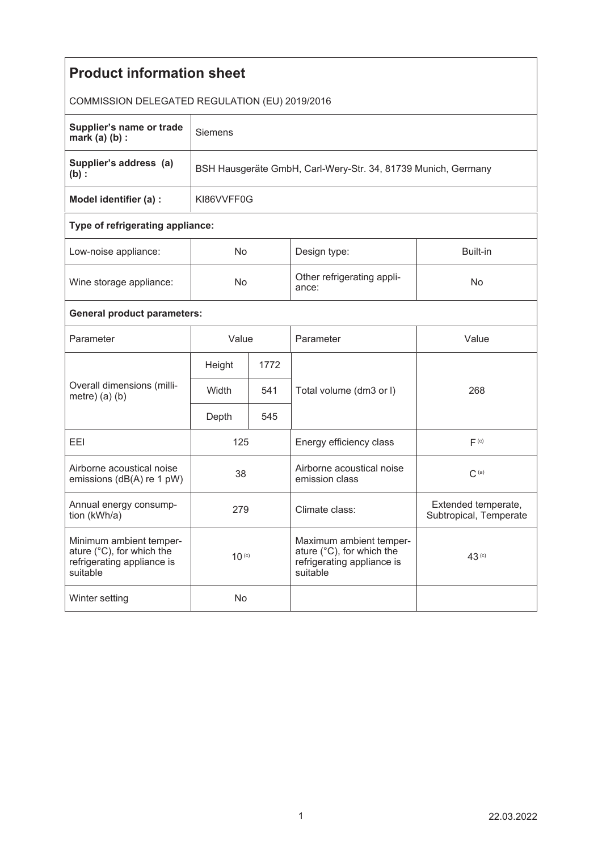| <b>Product information sheet</b>                                                               |                                                               |      |                                                                                                |                                               |  |  |  |  |
|------------------------------------------------------------------------------------------------|---------------------------------------------------------------|------|------------------------------------------------------------------------------------------------|-----------------------------------------------|--|--|--|--|
| COMMISSION DELEGATED REGULATION (EU) 2019/2016                                                 |                                                               |      |                                                                                                |                                               |  |  |  |  |
| Supplier's name or trade<br>mark $(a)$ $(b)$ :                                                 | <b>Siemens</b>                                                |      |                                                                                                |                                               |  |  |  |  |
| Supplier's address (a)<br>$(b)$ :                                                              | BSH Hausgeräte GmbH, Carl-Wery-Str. 34, 81739 Munich, Germany |      |                                                                                                |                                               |  |  |  |  |
| Model identifier (a) :                                                                         | KI86VVFF0G                                                    |      |                                                                                                |                                               |  |  |  |  |
| Type of refrigerating appliance:                                                               |                                                               |      |                                                                                                |                                               |  |  |  |  |
| Low-noise appliance:                                                                           | No.                                                           |      | Design type:                                                                                   | Built-in                                      |  |  |  |  |
| Wine storage appliance:                                                                        | <b>No</b>                                                     |      | Other refrigerating appli-<br>ance:                                                            | No                                            |  |  |  |  |
| <b>General product parameters:</b>                                                             |                                                               |      |                                                                                                |                                               |  |  |  |  |
| Parameter                                                                                      | Value                                                         |      | Parameter                                                                                      | Value                                         |  |  |  |  |
| Overall dimensions (milli-<br>metre) $(a)$ $(b)$                                               | Height                                                        | 1772 |                                                                                                |                                               |  |  |  |  |
|                                                                                                | Width                                                         | 541  | Total volume (dm3 or I)                                                                        | 268                                           |  |  |  |  |
|                                                                                                | Depth                                                         | 545  |                                                                                                |                                               |  |  |  |  |
| EEI                                                                                            | 125                                                           |      | Energy efficiency class                                                                        | F <sub>(c)</sub>                              |  |  |  |  |
| Airborne acoustical noise<br>emissions (dB(A) re 1 pW)                                         | 38                                                            |      | Airborne acoustical noise<br>emission class                                                    | $C^{(a)}$                                     |  |  |  |  |
| Annual energy consump-<br>tion (kWh/a)                                                         | 279                                                           |      | Climate class:                                                                                 | Extended temperate,<br>Subtropical, Temperate |  |  |  |  |
| Minimum ambient temper-<br>ature (°C), for which the<br>refrigerating appliance is<br>suitable | $10^{(c)}$                                                    |      | Maximum ambient temper-<br>ature (°C), for which the<br>refrigerating appliance is<br>suitable | 43 <sup>(c)</sup>                             |  |  |  |  |
| Winter setting                                                                                 | No                                                            |      |                                                                                                |                                               |  |  |  |  |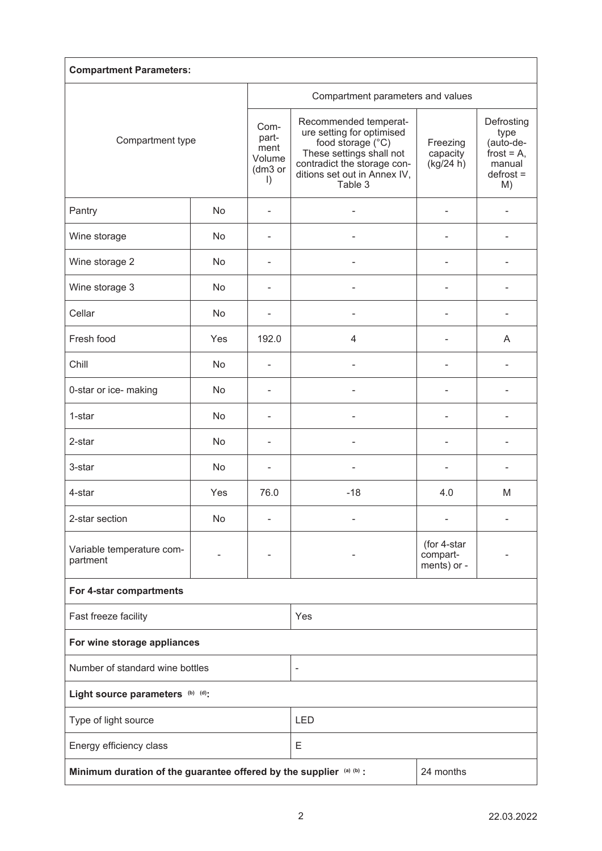| <b>Compartment Parameters:</b>                                                   |     |                                                       |                                                                                                                                                                               |                                        |                                                                                 |  |  |  |
|----------------------------------------------------------------------------------|-----|-------------------------------------------------------|-------------------------------------------------------------------------------------------------------------------------------------------------------------------------------|----------------------------------------|---------------------------------------------------------------------------------|--|--|--|
| Compartment type                                                                 |     | Compartment parameters and values                     |                                                                                                                                                                               |                                        |                                                                                 |  |  |  |
|                                                                                  |     | Com-<br>part-<br>ment<br>Volume<br>(dm3 or<br>$\vert$ | Recommended temperat-<br>ure setting for optimised<br>food storage (°C)<br>These settings shall not<br>contradict the storage con-<br>ditions set out in Annex IV,<br>Table 3 | Freezing<br>capacity<br>(kg/24 h)      | Defrosting<br>type<br>(auto-de-<br>frost = $A$ ,<br>manual<br>$defrost =$<br>M) |  |  |  |
| Pantry                                                                           | No  |                                                       |                                                                                                                                                                               |                                        |                                                                                 |  |  |  |
| Wine storage                                                                     | No  |                                                       |                                                                                                                                                                               |                                        |                                                                                 |  |  |  |
| Wine storage 2                                                                   | No  | ۰                                                     |                                                                                                                                                                               |                                        |                                                                                 |  |  |  |
| Wine storage 3                                                                   | No  | ۰                                                     |                                                                                                                                                                               | $\blacksquare$                         |                                                                                 |  |  |  |
| Cellar                                                                           | No  | $\overline{\phantom{0}}$                              | ä,                                                                                                                                                                            | $\overline{\phantom{m}}$               |                                                                                 |  |  |  |
| Fresh food                                                                       | Yes | 192.0                                                 | $\overline{4}$                                                                                                                                                                | $\blacksquare$                         | A                                                                               |  |  |  |
| Chill                                                                            | No  | L,                                                    |                                                                                                                                                                               |                                        |                                                                                 |  |  |  |
| 0-star or ice- making                                                            | No  |                                                       |                                                                                                                                                                               |                                        |                                                                                 |  |  |  |
| 1-star                                                                           | No  |                                                       |                                                                                                                                                                               |                                        |                                                                                 |  |  |  |
| 2-star                                                                           | No  |                                                       |                                                                                                                                                                               |                                        |                                                                                 |  |  |  |
| 3-star                                                                           | No  | ۳                                                     |                                                                                                                                                                               | ٠                                      |                                                                                 |  |  |  |
| 4-star                                                                           | Yes | 76.0                                                  | $-18$                                                                                                                                                                         | 4.0                                    | M                                                                               |  |  |  |
| 2-star section                                                                   | No  |                                                       |                                                                                                                                                                               |                                        |                                                                                 |  |  |  |
| Variable temperature com-<br>partment                                            | ÷   |                                                       |                                                                                                                                                                               | (for 4-star<br>compart-<br>ments) or - |                                                                                 |  |  |  |
| For 4-star compartments                                                          |     |                                                       |                                                                                                                                                                               |                                        |                                                                                 |  |  |  |
| Fast freeze facility                                                             |     |                                                       | Yes                                                                                                                                                                           |                                        |                                                                                 |  |  |  |
| For wine storage appliances                                                      |     |                                                       |                                                                                                                                                                               |                                        |                                                                                 |  |  |  |
| Number of standard wine bottles                                                  |     |                                                       | ÷,                                                                                                                                                                            |                                        |                                                                                 |  |  |  |
| Light source parameters (b) (d):                                                 |     |                                                       |                                                                                                                                                                               |                                        |                                                                                 |  |  |  |
| Type of light source                                                             |     |                                                       | <b>LED</b>                                                                                                                                                                    |                                        |                                                                                 |  |  |  |
| Energy efficiency class                                                          |     |                                                       | Е                                                                                                                                                                             |                                        |                                                                                 |  |  |  |
| Minimum duration of the guarantee offered by the supplier (a) (b) :<br>24 months |     |                                                       |                                                                                                                                                                               |                                        |                                                                                 |  |  |  |